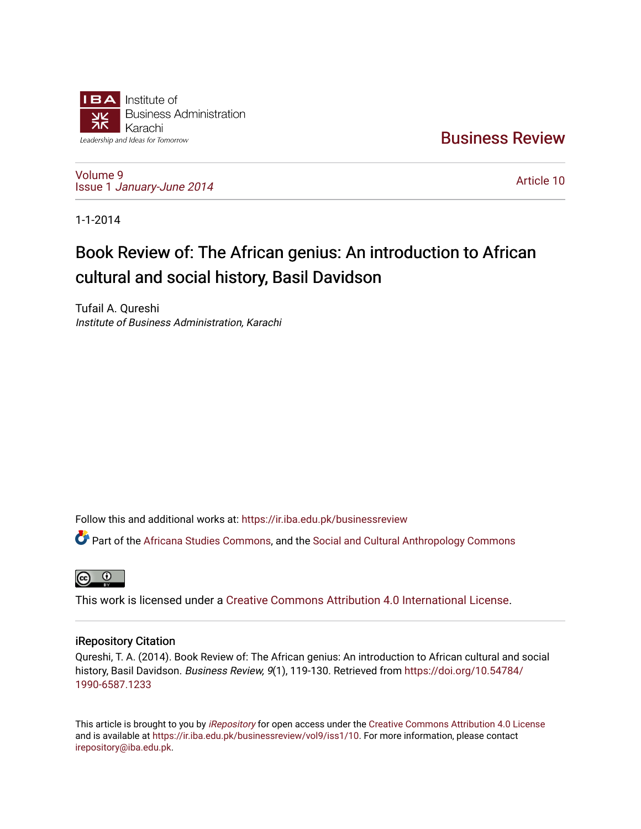

[Business Review](https://ir.iba.edu.pk/businessreview) 

[Volume 9](https://ir.iba.edu.pk/businessreview/vol9) Issue 1 [January-June 2014](https://ir.iba.edu.pk/businessreview/vol9/iss1) 

[Article 10](https://ir.iba.edu.pk/businessreview/vol9/iss1/10) 

1-1-2014

# Book Review of: The African genius: An introduction to African cultural and social history, Basil Davidson

Tufail A. Qureshi Institute of Business Administration, Karachi

Follow this and additional works at: [https://ir.iba.edu.pk/businessreview](https://ir.iba.edu.pk/businessreview?utm_source=ir.iba.edu.pk%2Fbusinessreview%2Fvol9%2Fiss1%2F10&utm_medium=PDF&utm_campaign=PDFCoverPages) 

Part of the [Africana Studies Commons,](http://network.bepress.com/hgg/discipline/1418?utm_source=ir.iba.edu.pk%2Fbusinessreview%2Fvol9%2Fiss1%2F10&utm_medium=PDF&utm_campaign=PDFCoverPages) and the Social and Cultural Anthropology Commons



This work is licensed under a [Creative Commons Attribution 4.0 International License](https://creativecommons.org/licenses/by/4.0/).

# iRepository Citation

Qureshi, T. A. (2014). Book Review of: The African genius: An introduction to African cultural and social history, Basil Davidson. Business Review, 9(1), 119-130. Retrieved from [https://doi.org/10.54784/](https://doi.org/10.54784/1990-6587.1233) [1990-6587.1233](https://doi.org/10.54784/1990-6587.1233) 

This article is brought to you by [iRepository](https://ir.iba.edu.pk/) for open access under the Creative Commons Attribution 4.0 License and is available at [https://ir.iba.edu.pk/businessreview/vol9/iss1/10.](https://ir.iba.edu.pk/businessreview/vol9/iss1/10) For more information, please contact [irepository@iba.edu.pk.](mailto:irepository@iba.edu.pk)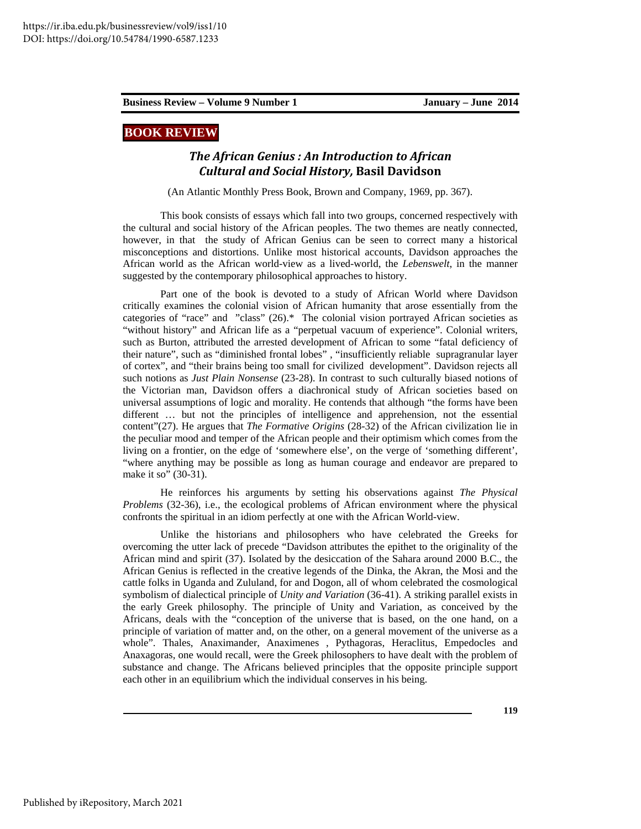# **BOOK REVIEW**

## *The African Genius : An Introduction to African Cultural and Social History,* **Basil Davidson**

(An Atlantic Monthly Press Book, Brown and Company, 1969, pp. 367).

This book consists of essays which fall into two groups, concerned respectively with the cultural and social history of the African peoples. The two themes are neatly connected, however, in that the study of African Genius can be seen to correct many a historical misconceptions and distortions. Unlike most historical accounts, Davidson approaches the African world as the African world-view as a lived-world, the *Lebenswelt*, in the manner suggested by the contemporary philosophical approaches to history.

Part one of the book is devoted to a study of African World where Davidson critically examines the colonial vision of African humanity that arose essentially from the categories of "race" and "class" (26).\* The colonial vision portrayed African societies as "without history" and African life as a "perpetual vacuum of experience". Colonial writers, such as Burton, attributed the arrested development of African to some "fatal deficiency of their nature", such as "diminished frontal lobes" , "insufficiently reliable supragranular layer of cortex", and "their brains being too small for civilized development". Davidson rejects all such notions as *Just Plain Nonsense* (23-28). In contrast to such culturally biased notions of the Victorian man, Davidson offers a diachronical study of African societies based on universal assumptions of logic and morality. He contends that although "the forms have been different … but not the principles of intelligence and apprehension, not the essential content"(27). He argues that *The Formative Origins* (28-32) of the African civilization lie in the peculiar mood and temper of the African people and their optimism which comes from the living on a frontier, on the edge of 'somewhere else', on the verge of 'something different', "where anything may be possible as long as human courage and endeavor are prepared to make it so" (30-31).

He reinforces his arguments by setting his observations against *The Physical Problems* (32-36), i.e., the ecological problems of African environment where the physical confronts the spiritual in an idiom perfectly at one with the African World-view.

Unlike the historians and philosophers who have celebrated the Greeks for overcoming the utter lack of precede "Davidson attributes the epithet to the originality of the African mind and spirit (37). Isolated by the desiccation of the Sahara around 2000 B.C., the African Genius is reflected in the creative legends of the Dinka, the Akran, the Mosi and the cattle folks in Uganda and Zululand, for and Dogon, all of whom celebrated the cosmological symbolism of dialectical principle of *Unity and Variation* (36-41). A striking parallel exists in the early Greek philosophy. The principle of Unity and Variation, as conceived by the Africans, deals with the "conception of the universe that is based, on the one hand, on a principle of variation of matter and, on the other, on a general movement of the universe as a whole". Thales, Anaximander, Anaximenes , Pythagoras, Heraclitus, Empedocles and Anaxagoras, one would recall, were the Greek philosophers to have dealt with the problem of substance and change. The Africans believed principles that the opposite principle support each other in an equilibrium which the individual conserves in his being.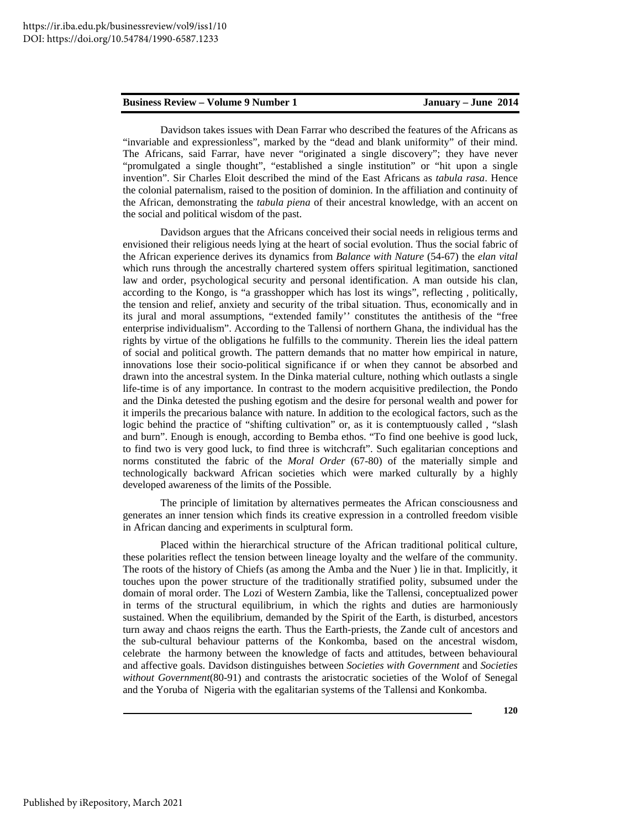Davidson takes issues with Dean Farrar who described the features of the Africans as "invariable and expressionless", marked by the "dead and blank uniformity" of their mind. The Africans, said Farrar, have never "originated a single discovery"; they have never "promulgated a single thought", "established a single institution" or "hit upon a single invention". Sir Charles Eloit described the mind of the East Africans as *tabula rasa*. Hence the colonial paternalism, raised to the position of dominion. In the affiliation and continuity of the African, demonstrating the *tabula piena* of their ancestral knowledge, with an accent on the social and political wisdom of the past.

Davidson argues that the Africans conceived their social needs in religious terms and envisioned their religious needs lying at the heart of social evolution. Thus the social fabric of the African experience derives its dynamics from *Balance with Nature* (54-67) the *elan vital* which runs through the ancestrally chartered system offers spiritual legitimation, sanctioned law and order, psychological security and personal identification. A man outside his clan, according to the Kongo, is "a grasshopper which has lost its wings", reflecting , politically, the tension and relief, anxiety and security of the tribal situation. Thus, economically and in its jural and moral assumptions, "extended family'' constitutes the antithesis of the "free enterprise individualism". According to the Tallensi of northern Ghana, the individual has the rights by virtue of the obligations he fulfills to the community. Therein lies the ideal pattern of social and political growth. The pattern demands that no matter how empirical in nature, innovations lose their socio-political significance if or when they cannot be absorbed and drawn into the ancestral system. In the Dinka material culture, nothing which outlasts a single life-time is of any importance. In contrast to the modern acquisitive predilection, the Pondo and the Dinka detested the pushing egotism and the desire for personal wealth and power for it imperils the precarious balance with nature. In addition to the ecological factors, such as the logic behind the practice of "shifting cultivation" or, as it is contemptuously called, "slash and burn". Enough is enough, according to Bemba ethos. "To find one beehive is good luck, to find two is very good luck, to find three is witchcraft". Such egalitarian conceptions and norms constituted the fabric of the *Moral Order* (67-80) of the materially simple and technologically backward African societies which were marked culturally by a highly developed awareness of the limits of the Possible.

The principle of limitation by alternatives permeates the African consciousness and generates an inner tension which finds its creative expression in a controlled freedom visible in African dancing and experiments in sculptural form.

Placed within the hierarchical structure of the African traditional political culture, these polarities reflect the tension between lineage loyalty and the welfare of the community. The roots of the history of Chiefs (as among the Amba and the Nuer ) lie in that. Implicitly, it touches upon the power structure of the traditionally stratified polity, subsumed under the domain of moral order. The Lozi of Western Zambia, like the Tallensi, conceptualized power in terms of the structural equilibrium, in which the rights and duties are harmoniously sustained. When the equilibrium, demanded by the Spirit of the Earth, is disturbed, ancestors turn away and chaos reigns the earth. Thus the Earth-priests, the Zande cult of ancestors and the sub-cultural behaviour patterns of the Konkomba, based on the ancestral wisdom, celebrate the harmony between the knowledge of facts and attitudes, between behavioural and affective goals. Davidson distinguishes between *Societies with Government* and *Societies without Government*(80-91) and contrasts the aristocratic societies of the Wolof of Senegal and the Yoruba of Nigeria with the egalitarian systems of the Tallensi and Konkomba.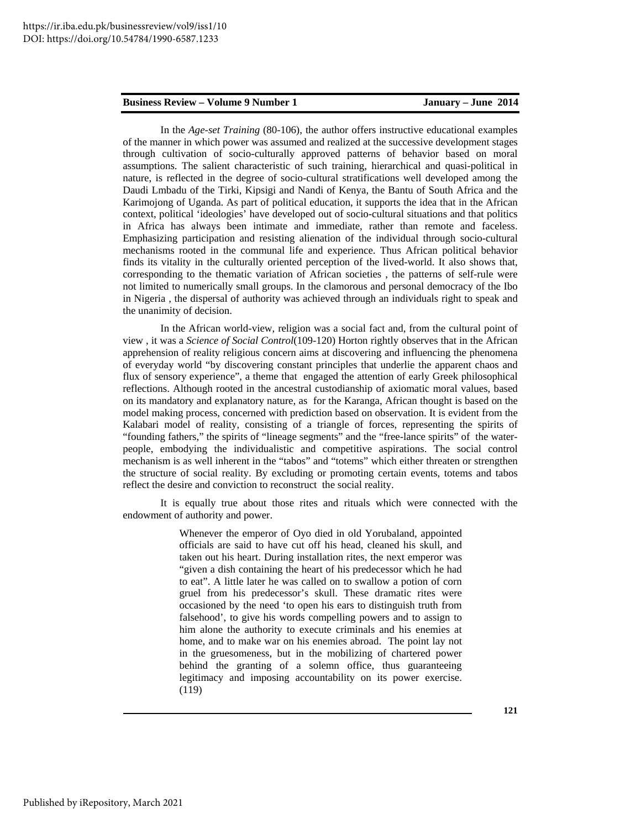In the *Age-set Training* (80-106), the author offers instructive educational examples of the manner in which power was assumed and realized at the successive development stages through cultivation of socio-culturally approved patterns of behavior based on moral assumptions. The salient characteristic of such training, hierarchical and quasi-political in nature, is reflected in the degree of socio-cultural stratifications well developed among the Daudi Lmbadu of the Tirki, Kipsigi and Nandi of Kenya, the Bantu of South Africa and the Karimojong of Uganda. As part of political education, it supports the idea that in the African context, political 'ideologies' have developed out of socio-cultural situations and that politics in Africa has always been intimate and immediate, rather than remote and faceless. Emphasizing participation and resisting alienation of the individual through socio-cultural mechanisms rooted in the communal life and experience. Thus African political behavior finds its vitality in the culturally oriented perception of the lived-world. It also shows that, corresponding to the thematic variation of African societies , the patterns of self-rule were not limited to numerically small groups. In the clamorous and personal democracy of the Ibo in Nigeria , the dispersal of authority was achieved through an individuals right to speak and the unanimity of decision.

In the African world-view, religion was a social fact and, from the cultural point of view , it was a *Science of Social Control*(109-120) Horton rightly observes that in the African apprehension of reality religious concern aims at discovering and influencing the phenomena of everyday world "by discovering constant principles that underlie the apparent chaos and flux of sensory experience", a theme that engaged the attention of early Greek philosophical reflections. Although rooted in the ancestral custodianship of axiomatic moral values, based on its mandatory and explanatory nature, as for the Karanga, African thought is based on the model making process, concerned with prediction based on observation. It is evident from the Kalabari model of reality, consisting of a triangle of forces, representing the spirits of "founding fathers," the spirits of "lineage segments" and the "free-lance spirits" of the waterpeople, embodying the individualistic and competitive aspirations. The social control mechanism is as well inherent in the "tabos" and "totems" which either threaten or strengthen the structure of social reality. By excluding or promoting certain events, totems and tabos reflect the desire and conviction to reconstruct the social reality.

It is equally true about those rites and rituals which were connected with the endowment of authority and power.

> Whenever the emperor of Oyo died in old Yorubaland, appointed officials are said to have cut off his head, cleaned his skull, and taken out his heart. During installation rites, the next emperor was "given a dish containing the heart of his predecessor which he had to eat". A little later he was called on to swallow a potion of corn gruel from his predecessor's skull. These dramatic rites were occasioned by the need 'to open his ears to distinguish truth from falsehood', to give his words compelling powers and to assign to him alone the authority to execute criminals and his enemies at home, and to make war on his enemies abroad. The point lay not in the gruesomeness, but in the mobilizing of chartered power behind the granting of a solemn office, thus guaranteeing legitimacy and imposing accountability on its power exercise. (119)

> > **121**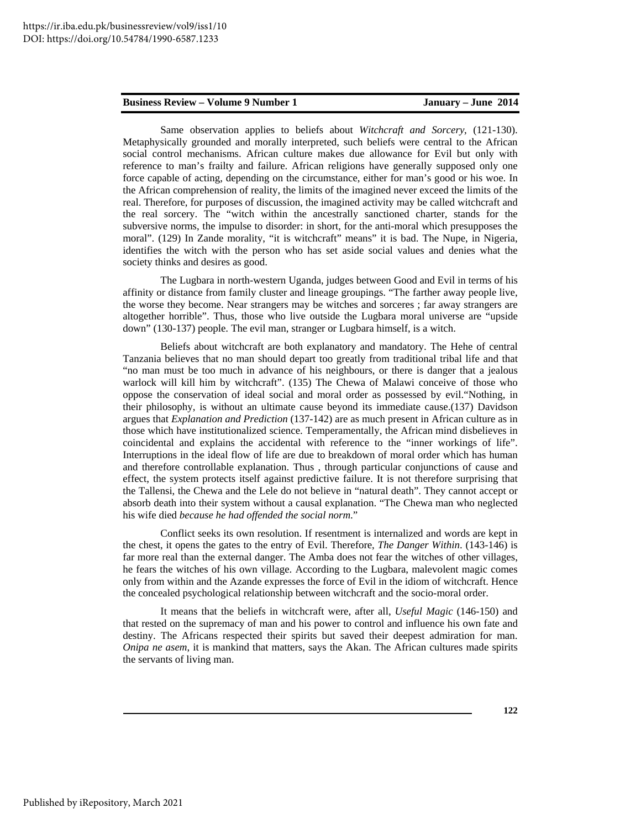Same observation applies to beliefs about *Witchcraft and Sorcery*, (121-130). Metaphysically grounded and morally interpreted, such beliefs were central to the African social control mechanisms. African culture makes due allowance for Evil but only with reference to man's frailty and failure. African religions have generally supposed only one force capable of acting, depending on the circumstance, either for man's good or his woe. In the African comprehension of reality, the limits of the imagined never exceed the limits of the real. Therefore, for purposes of discussion, the imagined activity may be called witchcraft and the real sorcery. The "witch within the ancestrally sanctioned charter, stands for the subversive norms, the impulse to disorder: in short, for the anti-moral which presupposes the moral". (129) In Zande morality, "it is witchcraft" means" it is bad. The Nupe, in Nigeria, identifies the witch with the person who has set aside social values and denies what the society thinks and desires as good.

The Lugbara in north-western Uganda, judges between Good and Evil in terms of his affinity or distance from family cluster and lineage groupings. "The farther away people live, the worse they become. Near strangers may be witches and sorceres ; far away strangers are altogether horrible". Thus, those who live outside the Lugbara moral universe are "upside down" (130-137) people. The evil man, stranger or Lugbara himself, is a witch.

Beliefs about witchcraft are both explanatory and mandatory. The Hehe of central Tanzania believes that no man should depart too greatly from traditional tribal life and that "no man must be too much in advance of his neighbours, or there is danger that a jealous warlock will kill him by witchcraft". (135) The Chewa of Malawi conceive of those who oppose the conservation of ideal social and moral order as possessed by evil."Nothing, in their philosophy, is without an ultimate cause beyond its immediate cause.(137) Davidson argues that *Explanation and Prediction* (137-142) are as much present in African culture as in those which have institutionalized science. Temperamentally, the African mind disbelieves in coincidental and explains the accidental with reference to the "inner workings of life". Interruptions in the ideal flow of life are due to breakdown of moral order which has human and therefore controllable explanation. Thus , through particular conjunctions of cause and effect, the system protects itself against predictive failure. It is not therefore surprising that the Tallensi, the Chewa and the Lele do not believe in "natural death". They cannot accept or absorb death into their system without a causal explanation. "The Chewa man who neglected his wife died *because he had offended the social norm*."

Conflict seeks its own resolution. If resentment is internalized and words are kept in the chest, it opens the gates to the entry of Evil. Therefore, *The Danger Within*. (143-146) is far more real than the external danger. The Amba does not fear the witches of other villages, he fears the witches of his own village. According to the Lugbara, malevolent magic comes only from within and the Azande expresses the force of Evil in the idiom of witchcraft. Hence the concealed psychological relationship between witchcraft and the socio-moral order.

It means that the beliefs in witchcraft were, after all, *Useful Magic* (146-150) and that rested on the supremacy of man and his power to control and influence his own fate and destiny. The Africans respected their spirits but saved their deepest admiration for man. *Onipa ne asem*, it is mankind that matters, says the Akan. The African cultures made spirits the servants of living man.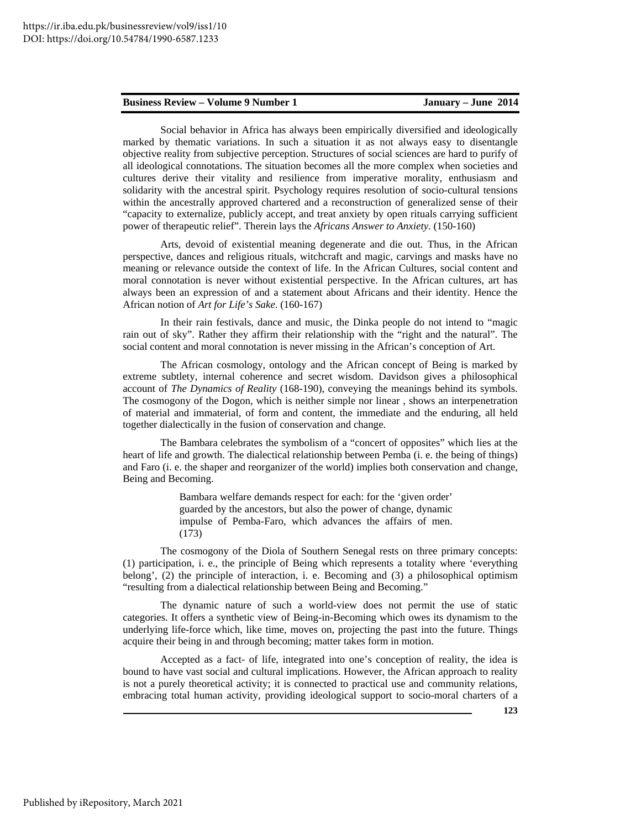Social behavior in Africa has always been empirically diversified and ideologically marked by thematic variations. In such a situation it as not always easy to disentangle objective reality from subjective perception. Structures of social sciences are hard to purify of all ideological connotations. The situation becomes all the more complex when societies and cultures derive their vitality and resilience from imperative morality, enthusiasm and solidarity with the ancestral spirit. Psychology requires resolution of socio-cultural tensions within the ancestrally approved chartered and a reconstruction of generalized sense of their "capacity to externalize, publicly accept, and treat anxiety by open rituals carrying sufficient power of therapeutic relief". Therein lays the *Africans Answer to Anxiety*. (150-160)

Arts, devoid of existential meaning degenerate and die out. Thus, in the African perspective, dances and religious rituals, witchcraft and magic, carvings and masks have no meaning or relevance outside the context of life. In the African Cultures, social content and moral connotation is never without existential perspective. In the African cultures, art has always been an expression of and a statement about Africans and their identity. Hence the African notion of *Art for Life's Sake*. (160-167)

In their rain festivals, dance and music, the Dinka people do not intend to "magic rain out of sky". Rather they affirm their relationship with the "right and the natural". The social content and moral connotation is never missing in the African's conception of Art.

The African cosmology, ontology and the African concept of Being is marked by extreme subtlety, internal coherence and secret wisdom. Davidson gives a philosophical account of *The Dynamics of Reality* (168-190), conveying the meanings behind its symbols. The cosmogony of the Dogon, which is neither simple nor linear , shows an interpenetration of material and immaterial, of form and content, the immediate and the enduring, all held together dialectically in the fusion of conservation and change.

The Bambara celebrates the symbolism of a "concert of opposites" which lies at the heart of life and growth. The dialectical relationship between Pemba (i. e. the being of things) and Faro (i. e. the shaper and reorganizer of the world) implies both conservation and change, Being and Becoming.

> Bambara welfare demands respect for each: for the 'given order' guarded by the ancestors, but also the power of change, dynamic impulse of Pemba-Faro, which advances the affairs of men. (173)

The cosmogony of the Diola of Southern Senegal rests on three primary concepts: (1) participation, i. e., the principle of Being which represents a totality where 'everything belong', (2) the principle of interaction, i. e. Becoming and (3) a philosophical optimism "resulting from a dialectical relationship between Being and Becoming."

The dynamic nature of such a world-view does not permit the use of static categories. It offers a synthetic view of Being-in-Becoming which owes its dynamism to the underlying life-force which, like time, moves on, projecting the past into the future. Things acquire their being in and through becoming; matter takes form in motion.

Accepted as a fact- of life, integrated into one's conception of reality, the idea is bound to have vast social and cultural implications. However, the African approach to reality is not a purely theoretical activity; it is connected to practical use and community relations, embracing total human activity, providing ideological support to socio-moral charters of a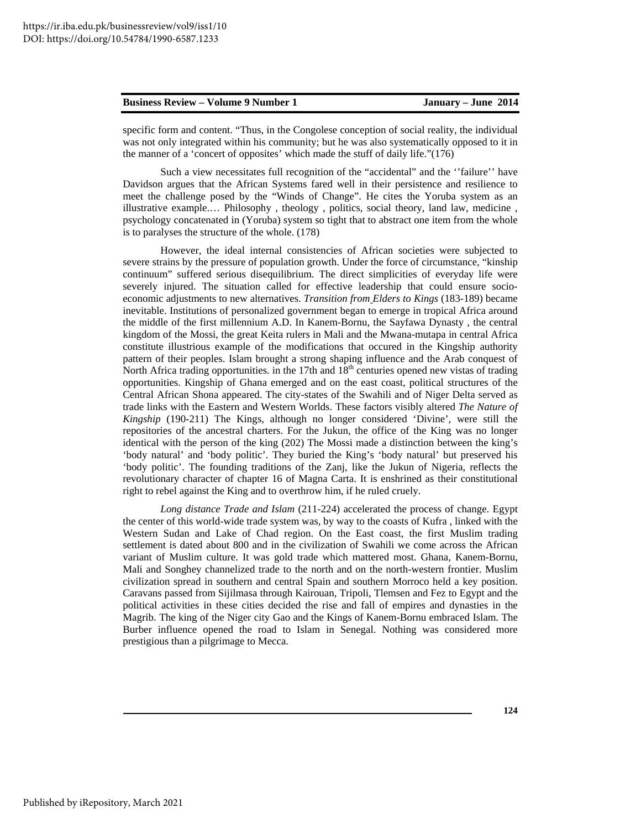specific form and content. "Thus, in the Congolese conception of social reality, the individual was not only integrated within his community; but he was also systematically opposed to it in the manner of a 'concert of opposites' which made the stuff of daily life."(176)

Such a view necessitates full recognition of the "accidental" and the ''failure'' have Davidson argues that the African Systems fared well in their persistence and resilience to meet the challenge posed by the "Winds of Change". He cites the Yoruba system as an illustrative example.… Philosophy , theology , politics, social theory, land law, medicine , psychology concatenated in (Yoruba) system so tight that to abstract one item from the whole is to paralyses the structure of the whole. (178)

However, the ideal internal consistencies of African societies were subjected to severe strains by the pressure of population growth. Under the force of circumstance, "kinship continuum" suffered serious disequilibrium. The direct simplicities of everyday life were severely injured. The situation called for effective leadership that could ensure socioeconomic adjustments to new alternatives. *Transition from Elders to Kings* (183-189) became inevitable. Institutions of personalized government began to emerge in tropical Africa around the middle of the first millennium A.D. In Kanem-Bornu, the Sayfawa Dynasty , the central kingdom of the Mossi, the great Keita rulers in Mali and the Mwana-mutapa in central Africa constitute illustrious example of the modifications that occured in the Kingship authority pattern of their peoples. Islam brought a strong shaping influence and the Arab conquest of North Africa trading opportunities. in the 17th and 18<sup>th</sup> centuries opened new vistas of trading opportunities. Kingship of Ghana emerged and on the east coast, political structures of the Central African Shona appeared. The city-states of the Swahili and of Niger Delta served as trade links with the Eastern and Western Worlds. These factors visibly altered *The Nature of Kingship* (190-211) The Kings, although no longer considered 'Divine', were still the repositories of the ancestral charters. For the Jukun, the office of the King was no longer identical with the person of the king (202) The Mossi made a distinction between the king's 'body natural' and 'body politic'. They buried the King's 'body natural' but preserved his 'body politic'. The founding traditions of the Zanj, like the Jukun of Nigeria, reflects the revolutionary character of chapter 16 of Magna Carta. It is enshrined as their constitutional right to rebel against the King and to overthrow him, if he ruled cruely.

*Long distance Trade and Islam* (211-224) accelerated the process of change. Egypt the center of this world-wide trade system was, by way to the coasts of Kufra , linked with the Western Sudan and Lake of Chad region. On the East coast, the first Muslim trading settlement is dated about 800 and in the civilization of Swahili we come across the African variant of Muslim culture. It was gold trade which mattered most. Ghana, Kanem-Bornu, Mali and Songhey channelized trade to the north and on the north-western frontier. Muslim civilization spread in southern and central Spain and southern Morroco held a key position. Caravans passed from Sijilmasa through Kairouan, Tripoli, Tlemsen and Fez to Egypt and the political activities in these cities decided the rise and fall of empires and dynasties in the Magrib. The king of the Niger city Gao and the Kings of Kanem-Bornu embraced Islam. The Burber influence opened the road to Islam in Senegal. Nothing was considered more prestigious than a pilgrimage to Mecca.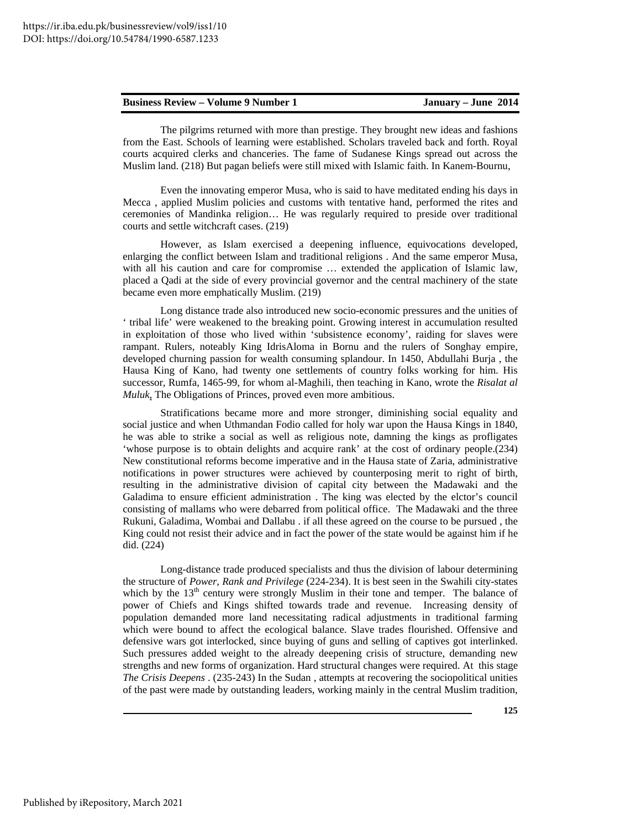The pilgrims returned with more than prestige. They brought new ideas and fashions from the East. Schools of learning were established. Scholars traveled back and forth. Royal courts acquired clerks and chanceries. The fame of Sudanese Kings spread out across the Muslim land. (218) But pagan beliefs were still mixed with Islamic faith. In Kanem-Bournu,

Even the innovating emperor Musa, who is said to have meditated ending his days in Mecca , applied Muslim policies and customs with tentative hand, performed the rites and ceremonies of Mandinka religion… He was regularly required to preside over traditional courts and settle witchcraft cases. (219)

However, as Islam exercised a deepening influence, equivocations developed, enlarging the conflict between Islam and traditional religions . And the same emperor Musa, with all his caution and care for compromise … extended the application of Islamic law, placed a Qadi at the side of every provincial governor and the central machinery of the state became even more emphatically Muslim. (219)

Long distance trade also introduced new socio-economic pressures and the unities of ' tribal life' were weakened to the breaking point. Growing interest in accumulation resulted in exploitation of those who lived within 'subsistence economy', raiding for slaves were rampant. Rulers, noteably King IdrisAloma in Bornu and the rulers of Songhay empire, developed churning passion for wealth consuming splandour. In 1450, Abdullahi Burja , the Hausa King of Kano, had twenty one settlements of country folks working for him. His successor, Rumfa, 1465-99, for whom al-Maghili, then teaching in Kano, wrote the *Risalat al Muluk*, The Obligations of Princes, proved even more ambitious.

Stratifications became more and more stronger, diminishing social equality and social justice and when Uthmandan Fodio called for holy war upon the Hausa Kings in 1840, he was able to strike a social as well as religious note, damning the kings as profligates 'whose purpose is to obtain delights and acquire rank' at the cost of ordinary people.(234) New constitutional reforms become imperative and in the Hausa state of Zaria, administrative notifications in power structures were achieved by counterposing merit to right of birth, resulting in the administrative division of capital city between the Madawaki and the Galadima to ensure efficient administration . The king was elected by the elctor's council consisting of mallams who were debarred from political office. The Madawaki and the three Rukuni, Galadima, Wombai and Dallabu . if all these agreed on the course to be pursued , the King could not resist their advice and in fact the power of the state would be against him if he did. (224)

Long-distance trade produced specialists and thus the division of labour determining the structure of *Power, Rank and Privilege* (224-234). It is best seen in the Swahili city-states which by the  $13<sup>th</sup>$  century were strongly Muslim in their tone and temper. The balance of power of Chiefs and Kings shifted towards trade and revenue. Increasing density of population demanded more land necessitating radical adjustments in traditional farming which were bound to affect the ecological balance. Slave trades flourished. Offensive and defensive wars got interlocked, since buying of guns and selling of captives got interlinked. Such pressures added weight to the already deepening crisis of structure, demanding new strengths and new forms of organization. Hard structural changes were required. At this stage *The Crisis Deepens* . (235-243) In the Sudan , attempts at recovering the sociopolitical unities of the past were made by outstanding leaders, working mainly in the central Muslim tradition,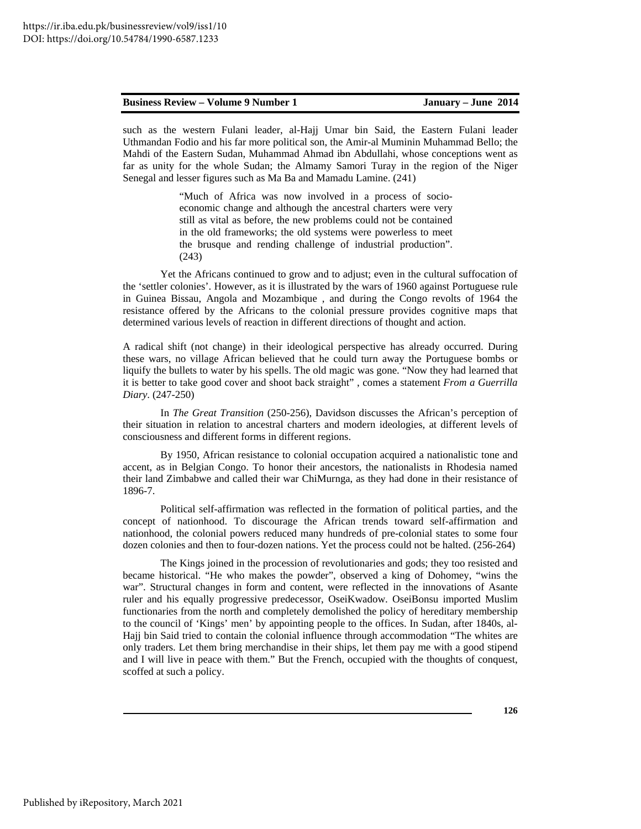such as the western Fulani leader, al-Hajj Umar bin Said, the Eastern Fulani leader Uthmandan Fodio and his far more political son, the Amir-al Muminin Muhammad Bello; the Mahdi of the Eastern Sudan, Muhammad Ahmad ibn Abdullahi, whose conceptions went as far as unity for the whole Sudan; the Almamy Samori Turay in the region of the Niger Senegal and lesser figures such as Ma Ba and Mamadu Lamine. (241)

> "Much of Africa was now involved in a process of socioeconomic change and although the ancestral charters were very still as vital as before, the new problems could not be contained in the old frameworks; the old systems were powerless to meet the brusque and rending challenge of industrial production". (243)

Yet the Africans continued to grow and to adjust; even in the cultural suffocation of the 'settler colonies'. However, as it is illustrated by the wars of 1960 against Portuguese rule in Guinea Bissau, Angola and Mozambique , and during the Congo revolts of 1964 the resistance offered by the Africans to the colonial pressure provides cognitive maps that determined various levels of reaction in different directions of thought and action.

A radical shift (not change) in their ideological perspective has already occurred. During these wars, no village African believed that he could turn away the Portuguese bombs or liquify the bullets to water by his spells. The old magic was gone. "Now they had learned that it is better to take good cover and shoot back straight" , comes a statement *From a Guerrilla Diary*. (247-250)

In *The Great Transition* (250-256), Davidson discusses the African's perception of their situation in relation to ancestral charters and modern ideologies, at different levels of consciousness and different forms in different regions.

By 1950, African resistance to colonial occupation acquired a nationalistic tone and accent, as in Belgian Congo. To honor their ancestors, the nationalists in Rhodesia named their land Zimbabwe and called their war ChiMurnga, as they had done in their resistance of 1896-7.

Political self-affirmation was reflected in the formation of political parties, and the concept of nationhood. To discourage the African trends toward self-affirmation and nationhood, the colonial powers reduced many hundreds of pre-colonial states to some four dozen colonies and then to four-dozen nations. Yet the process could not be halted. (256-264)

The Kings joined in the procession of revolutionaries and gods; they too resisted and became historical. "He who makes the powder", observed a king of Dohomey, "wins the war". Structural changes in form and content, were reflected in the innovations of Asante ruler and his equally progressive predecessor, OseiKwadow. OseiBonsu imported Muslim functionaries from the north and completely demolished the policy of hereditary membership to the council of 'Kings' men' by appointing people to the offices. In Sudan, after 1840s, al-Hajj bin Said tried to contain the colonial influence through accommodation "The whites are only traders. Let them bring merchandise in their ships, let them pay me with a good stipend and I will live in peace with them." But the French, occupied with the thoughts of conquest, scoffed at such a policy.

**126**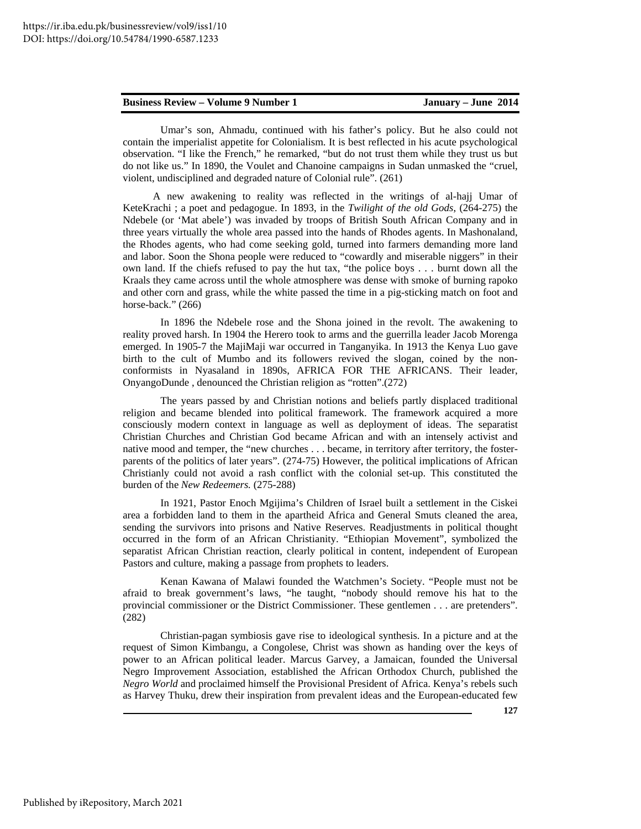Umar's son, Ahmadu, continued with his father's policy. But he also could not contain the imperialist appetite for Colonialism. It is best reflected in his acute psychological observation. "I like the French," he remarked, "but do not trust them while they trust us but do not like us." In 1890, the Voulet and Chanoine campaigns in Sudan unmasked the "cruel, violent, undisciplined and degraded nature of Colonial rule". (261)

 A new awakening to reality was reflected in the writings of al-hajj Umar of KeteKrachi ; a poet and pedagogue. In 1893, in the *Twilight of the old Gods*, (264-275) the Ndebele (or 'Mat abele') was invaded by troops of British South African Company and in three years virtually the whole area passed into the hands of Rhodes agents. In Mashonaland, the Rhodes agents, who had come seeking gold, turned into farmers demanding more land and labor. Soon the Shona people were reduced to "cowardly and miserable niggers" in their own land. If the chiefs refused to pay the hut tax, "the police boys . . . burnt down all the Kraals they came across until the whole atmosphere was dense with smoke of burning rapoko and other corn and grass, while the white passed the time in a pig-sticking match on foot and horse-back." (266)

In 1896 the Ndebele rose and the Shona joined in the revolt. The awakening to reality proved harsh. In 1904 the Herero took to arms and the guerrilla leader Jacob Morenga emerged. In 1905-7 the MajiMaji war occurred in Tanganyika. In 1913 the Kenya Luo gave birth to the cult of Mumbo and its followers revived the slogan, coined by the nonconformists in Nyasaland in 1890s, AFRICA FOR THE AFRICANS. Their leader, OnyangoDunde , denounced the Christian religion as "rotten".(272)

The years passed by and Christian notions and beliefs partly displaced traditional religion and became blended into political framework. The framework acquired a more consciously modern context in language as well as deployment of ideas. The separatist Christian Churches and Christian God became African and with an intensely activist and native mood and temper, the "new churches . . . became, in territory after territory, the fosterparents of the politics of later years". (274-75) However, the political implications of African Christianly could not avoid a rash conflict with the colonial set-up. This constituted the burden of the *New Redeemers.* (275-288)

In 1921, Pastor Enoch Mgijima's Children of Israel built a settlement in the Ciskei area a forbidden land to them in the apartheid Africa and General Smuts cleaned the area, sending the survivors into prisons and Native Reserves. Readjustments in political thought occurred in the form of an African Christianity. "Ethiopian Movement", symbolized the separatist African Christian reaction, clearly political in content, independent of European Pastors and culture, making a passage from prophets to leaders.

Kenan Kawana of Malawi founded the Watchmen's Society. "People must not be afraid to break government's laws, "he taught, "nobody should remove his hat to the provincial commissioner or the District Commissioner. These gentlemen . . . are pretenders". (282)

Christian-pagan symbiosis gave rise to ideological synthesis. In a picture and at the request of Simon Kimbangu, a Congolese, Christ was shown as handing over the keys of power to an African political leader. Marcus Garvey, a Jamaican, founded the Universal Negro Improvement Association, established the African Orthodox Church, published the *Negro World* and proclaimed himself the Provisional President of Africa. Kenya's rebels such as Harvey Thuku, drew their inspiration from prevalent ideas and the European-educated few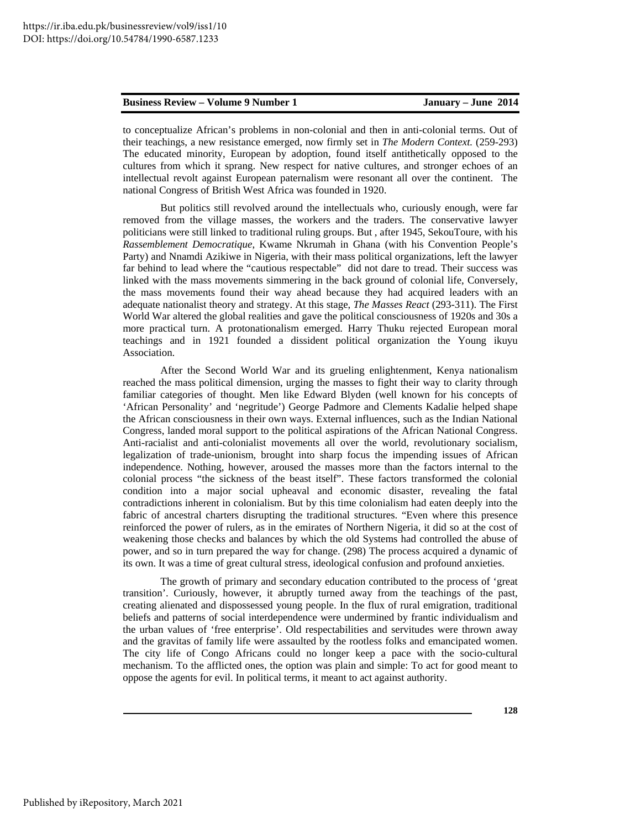to conceptualize African's problems in non-colonial and then in anti-colonial terms. Out of their teachings, a new resistance emerged, now firmly set in *The Modern Context.* (259-293) The educated minority, European by adoption, found itself antithetically opposed to the cultures from which it sprang. New respect for native cultures, and stronger echoes of an intellectual revolt against European paternalism were resonant all over the continent. The national Congress of British West Africa was founded in 1920.

But politics still revolved around the intellectuals who, curiously enough, were far removed from the village masses, the workers and the traders. The conservative lawyer politicians were still linked to traditional ruling groups. But , after 1945, SekouToure, with his *Rassemblement Democratique*, Kwame Nkrumah in Ghana (with his Convention People's Party) and Nnamdi Azikiwe in Nigeria, with their mass political organizations, left the lawyer far behind to lead where the "cautious respectable" did not dare to tread. Their success was linked with the mass movements simmering in the back ground of colonial life, Conversely, the mass movements found their way ahead because they had acquired leaders with an adequate nationalist theory and strategy. At this stage, *The Masses React* (293-311). The First World War altered the global realities and gave the political consciousness of 1920s and 30s a more practical turn. A protonationalism emerged. Harry Thuku rejected European moral teachings and in 1921 founded a dissident political organization the Young ikuyu Association.

After the Second World War and its grueling enlightenment, Kenya nationalism reached the mass political dimension, urging the masses to fight their way to clarity through familiar categories of thought. Men like Edward Blyden (well known for his concepts of 'African Personality' and 'negritude') George Padmore and Clements Kadalie helped shape the African consciousness in their own ways. External influences, such as the Indian National Congress, landed moral support to the political aspirations of the African National Congress. Anti-racialist and anti-colonialist movements all over the world, revolutionary socialism, legalization of trade-unionism, brought into sharp focus the impending issues of African independence. Nothing, however, aroused the masses more than the factors internal to the colonial process "the sickness of the beast itself". These factors transformed the colonial condition into a major social upheaval and economic disaster, revealing the fatal contradictions inherent in colonialism. But by this time colonialism had eaten deeply into the fabric of ancestral charters disrupting the traditional structures. "Even where this presence reinforced the power of rulers, as in the emirates of Northern Nigeria, it did so at the cost of weakening those checks and balances by which the old Systems had controlled the abuse of power, and so in turn prepared the way for change. (298) The process acquired a dynamic of its own. It was a time of great cultural stress, ideological confusion and profound anxieties.

The growth of primary and secondary education contributed to the process of 'great transition'. Curiously, however, it abruptly turned away from the teachings of the past, creating alienated and dispossessed young people. In the flux of rural emigration, traditional beliefs and patterns of social interdependence were undermined by frantic individualism and the urban values of 'free enterprise'. Old respectabilities and servitudes were thrown away and the gravitas of family life were assaulted by the rootless folks and emancipated women. The city life of Congo Africans could no longer keep a pace with the socio-cultural mechanism. To the afflicted ones, the option was plain and simple: To act for good meant to oppose the agents for evil. In political terms, it meant to act against authority.

**128**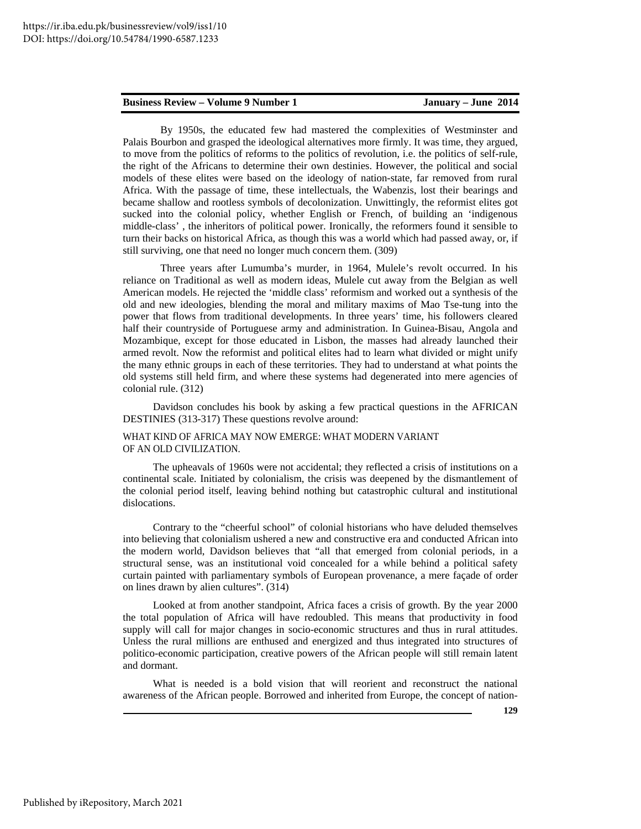By 1950s, the educated few had mastered the complexities of Westminster and Palais Bourbon and grasped the ideological alternatives more firmly. It was time, they argued, to move from the politics of reforms to the politics of revolution, i.e. the politics of self-rule, the right of the Africans to determine their own destinies. However, the political and social models of these elites were based on the ideology of nation-state, far removed from rural Africa. With the passage of time, these intellectuals, the Wabenzis, lost their bearings and became shallow and rootless symbols of decolonization. Unwittingly, the reformist elites got sucked into the colonial policy, whether English or French, of building an 'indigenous middle-class' , the inheritors of political power. Ironically, the reformers found it sensible to turn their backs on historical Africa, as though this was a world which had passed away, or, if still surviving, one that need no longer much concern them. (309)

Three years after Lumumba's murder, in 1964, Mulele's revolt occurred. In his reliance on Traditional as well as modern ideas, Mulele cut away from the Belgian as well American models. He rejected the 'middle class' reformism and worked out a synthesis of the old and new ideologies, blending the moral and military maxims of Mao Tse-tung into the power that flows from traditional developments. In three years' time, his followers cleared half their countryside of Portuguese army and administration. In Guinea-Bisau, Angola and Mozambique, except for those educated in Lisbon, the masses had already launched their armed revolt. Now the reformist and political elites had to learn what divided or might unify the many ethnic groups in each of these territories. They had to understand at what points the old systems still held firm, and where these systems had degenerated into mere agencies of colonial rule. (312)

Davidson concludes his book by asking a few practical questions in the AFRICAN DESTINIES (313-317) These questions revolve around:

### WHAT KIND OF AFRICA MAY NOW EMERGE: WHAT MODERN VARIANT OF AN OLD CIVILIZATION.

 The upheavals of 1960s were not accidental; they reflected a crisis of institutions on a continental scale. Initiated by colonialism, the crisis was deepened by the dismantlement of the colonial period itself, leaving behind nothing but catastrophic cultural and institutional dislocations.

 Contrary to the "cheerful school" of colonial historians who have deluded themselves into believing that colonialism ushered a new and constructive era and conducted African into the modern world, Davidson believes that "all that emerged from colonial periods, in a structural sense, was an institutional void concealed for a while behind a political safety curtain painted with parliamentary symbols of European provenance, a mere façade of order on lines drawn by alien cultures". (314)

 Looked at from another standpoint, Africa faces a crisis of growth. By the year 2000 the total population of Africa will have redoubled. This means that productivity in food supply will call for major changes in socio-economic structures and thus in rural attitudes. Unless the rural millions are enthused and energized and thus integrated into structures of politico-economic participation, creative powers of the African people will still remain latent and dormant.

 What is needed is a bold vision that will reorient and reconstruct the national awareness of the African people. Borrowed and inherited from Europe, the concept of nation-